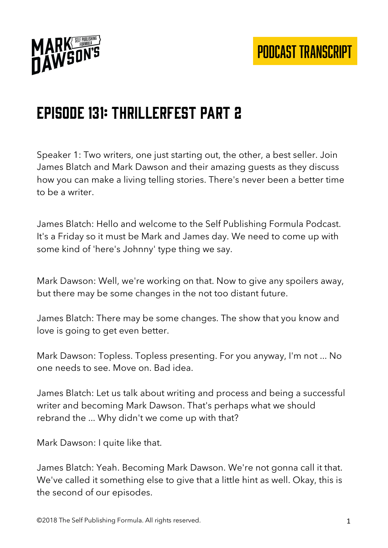

## Episode 131: Thrillerfest part 2

Speaker 1: Two writers, one just starting out, the other, a best seller. Join James Blatch and Mark Dawson and their amazing guests as they discuss how you can make a living telling stories. There's never been a better time to be a writer.

James Blatch: Hello and welcome to the Self Publishing Formula Podcast. It's a Friday so it must be Mark and James day. We need to come up with some kind of 'here's Johnny' type thing we say.

Mark Dawson: Well, we're working on that. Now to give any spoilers away, but there may be some changes in the not too distant future.

James Blatch: There may be some changes. The show that you know and love is going to get even better.

Mark Dawson: Topless. Topless presenting. For you anyway, I'm not ... No one needs to see. Move on. Bad idea.

James Blatch: Let us talk about writing and process and being a successful writer and becoming Mark Dawson. That's perhaps what we should rebrand the ... Why didn't we come up with that?

Mark Dawson: I quite like that.

James Blatch: Yeah. Becoming Mark Dawson. We're not gonna call it that. We've called it something else to give that a little hint as well. Okay, this is the second of our episodes.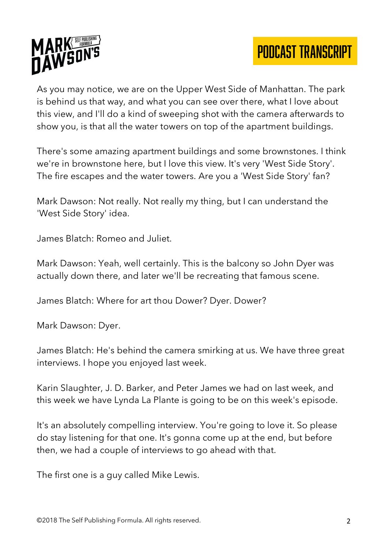

As you may notice, we are on the Upper West Side of Manhattan. The park is behind us that way, and what you can see over there, what I love about this view, and I'll do a kind of sweeping shot with the camera afterwards to show you, is that all the water towers on top of the apartment buildings.

There's some amazing apartment buildings and some brownstones. I think we're in brownstone here, but I love this view. It's very 'West Side Story'. The fire escapes and the water towers. Are you a 'West Side Story' fan?

Mark Dawson: Not really. Not really my thing, but I can understand the 'West Side Story' idea.

James Blatch: Romeo and Juliet.

Mark Dawson: Yeah, well certainly. This is the balcony so John Dyer was actually down there, and later we'll be recreating that famous scene.

James Blatch: Where for art thou Dower? Dyer. Dower?

Mark Dawson: Dyer.

James Blatch: He's behind the camera smirking at us. We have three great interviews. I hope you enjoyed last week.

Karin Slaughter, J. D. Barker, and Peter James we had on last week, and this week we have Lynda La Plante is going to be on this week's episode.

It's an absolutely compelling interview. You're going to love it. So please do stay listening for that one. It's gonna come up at the end, but before then, we had a couple of interviews to go ahead with that.

The first one is a guy called Mike Lewis.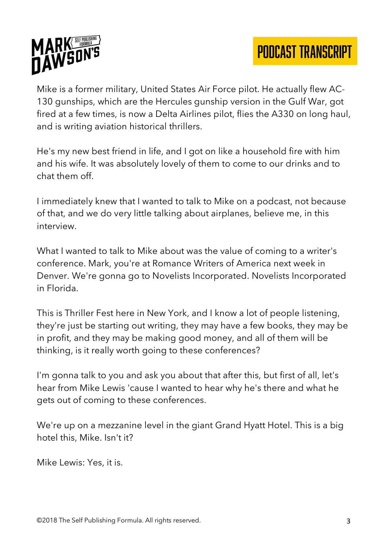

Mike is a former military, United States Air Force pilot. He actually flew AC-130 gunships, which are the Hercules gunship version in the Gulf War, got fired at a few times, is now a Delta Airlines pilot, flies the A330 on long haul, and is writing aviation historical thrillers.

He's my new best friend in life, and I got on like a household fire with him and his wife. It was absolutely lovely of them to come to our drinks and to chat them off.

I immediately knew that I wanted to talk to Mike on a podcast, not because of that, and we do very little talking about airplanes, believe me, in this interview.

What I wanted to talk to Mike about was the value of coming to a writer's conference. Mark, you're at Romance Writers of America next week in Denver. We're gonna go to Novelists Incorporated. Novelists Incorporated in Florida.

This is Thriller Fest here in New York, and I know a lot of people listening, they're just be starting out writing, they may have a few books, they may be in profit, and they may be making good money, and all of them will be thinking, is it really worth going to these conferences?

I'm gonna talk to you and ask you about that after this, but first of all, let's hear from Mike Lewis 'cause I wanted to hear why he's there and what he gets out of coming to these conferences.

We're up on a mezzanine level in the giant Grand Hyatt Hotel. This is a big hotel this, Mike. Isn't it?

Mike Lewis: Yes, it is.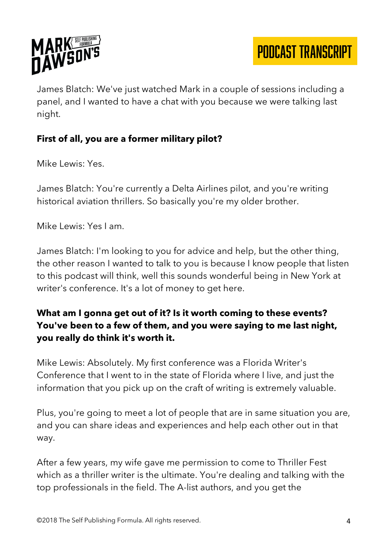

James Blatch: We've just watched Mark in a couple of sessions including a panel, and I wanted to have a chat with you because we were talking last night.

#### **First of all, you are a former military pilot?**

Mike Lewis: Yes.

James Blatch: You're currently a Delta Airlines pilot, and you're writing historical aviation thrillers. So basically you're my older brother.

Mike Lewis: Yes I am.

James Blatch: I'm looking to you for advice and help, but the other thing, the other reason I wanted to talk to you is because I know people that listen to this podcast will think, well this sounds wonderful being in New York at writer's conference. It's a lot of money to get here.

#### **What am I gonna get out of it? Is it worth coming to these events? You've been to a few of them, and you were saying to me last night, you really do think it's worth it.**

Mike Lewis: Absolutely. My first conference was a Florida Writer's Conference that I went to in the state of Florida where I live, and just the information that you pick up on the craft of writing is extremely valuable.

Plus, you're going to meet a lot of people that are in same situation you are, and you can share ideas and experiences and help each other out in that way.

After a few years, my wife gave me permission to come to Thriller Fest which as a thriller writer is the ultimate. You're dealing and talking with the top professionals in the field. The A-list authors, and you get the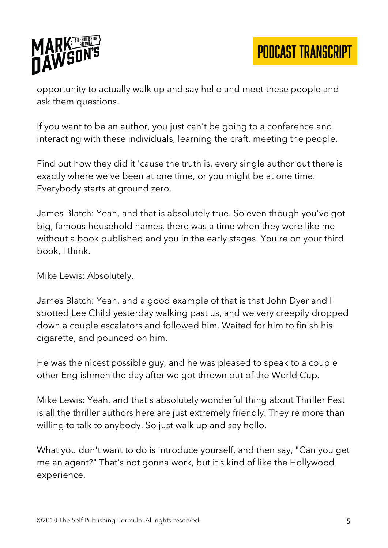

opportunity to actually walk up and say hello and meet these people and ask them questions.

If you want to be an author, you just can't be going to a conference and interacting with these individuals, learning the craft, meeting the people.

Find out how they did it 'cause the truth is, every single author out there is exactly where we've been at one time, or you might be at one time. Everybody starts at ground zero.

James Blatch: Yeah, and that is absolutely true. So even though you've got big, famous household names, there was a time when they were like me without a book published and you in the early stages. You're on your third book, I think.

Mike Lewis: Absolutely.

James Blatch: Yeah, and a good example of that is that John Dyer and I spotted Lee Child yesterday walking past us, and we very creepily dropped down a couple escalators and followed him. Waited for him to finish his cigarette, and pounced on him.

He was the nicest possible guy, and he was pleased to speak to a couple other Englishmen the day after we got thrown out of the World Cup.

Mike Lewis: Yeah, and that's absolutely wonderful thing about Thriller Fest is all the thriller authors here are just extremely friendly. They're more than willing to talk to anybody. So just walk up and say hello.

What you don't want to do is introduce yourself, and then say, "Can you get me an agent?" That's not gonna work, but it's kind of like the Hollywood experience.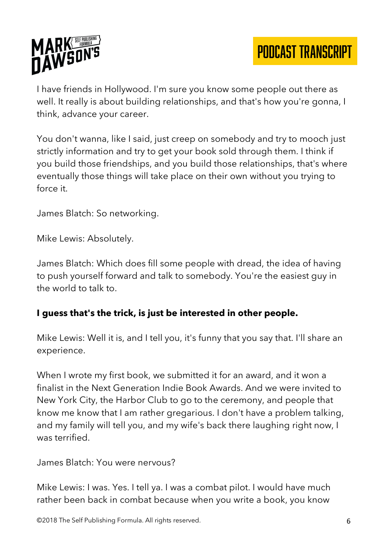

I have friends in Hollywood. I'm sure you know some people out there as well. It really is about building relationships, and that's how you're gonna, I think, advance your career.

You don't wanna, like I said, just creep on somebody and try to mooch just strictly information and try to get your book sold through them. I think if you build those friendships, and you build those relationships, that's where eventually those things will take place on their own without you trying to force it.

James Blatch: So networking.

Mike Lewis: Absolutely.

James Blatch: Which does fill some people with dread, the idea of having to push yourself forward and talk to somebody. You're the easiest guy in the world to talk to.

#### **I guess that's the trick, is just be interested in other people.**

Mike Lewis: Well it is, and I tell you, it's funny that you say that. I'll share an experience.

When I wrote my first book, we submitted it for an award, and it won a finalist in the Next Generation Indie Book Awards. And we were invited to New York City, the Harbor Club to go to the ceremony, and people that know me know that I am rather gregarious. I don't have a problem talking, and my family will tell you, and my wife's back there laughing right now, I was terrified.

James Blatch: You were nervous?

Mike Lewis: I was. Yes. I tell ya. I was a combat pilot. I would have much rather been back in combat because when you write a book, you know

©2018 The Self Publishing Formula. All rights reserved. 6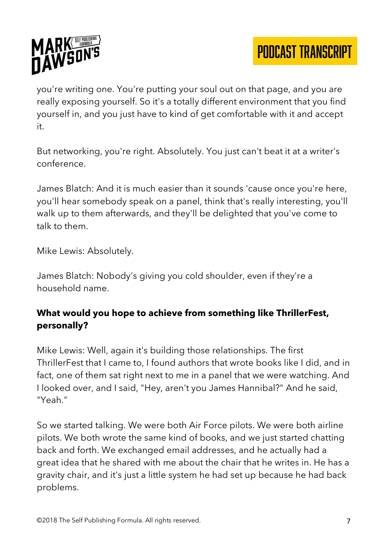

you're writing one. You're putting your soul out on that page, and you are really exposing yourself. So it's a totally different environment that you find yourself in, and you just have to kind of get comfortable with it and accept it.

But networking, you're right. Absolutely. You just can't beat it at a writer's conference.

James Blatch: And it is much easier than it sounds 'cause once you're here, you'll hear somebody speak on a panel, think that's really interesting, you'll walk up to them afterwards, and they'll be delighted that you've come to talk to them.

Mike Lewis: Absolutely.

James Blatch: Nobody's giving you cold shoulder, even if they're a household name.

#### **What would you hope to achieve from something like ThrillerFest, personally?**

Mike Lewis: Well, again it's building those relationships. The first ThrillerFest that I came to, I found authors that wrote books like I did, and in fact, one of them sat right next to me in a panel that we were watching. And I looked over, and I said, "Hey, aren't you James Hannibal?" And he said, "Yeah."

So we started talking. We were both Air Force pilots. We were both airline pilots. We both wrote the same kind of books, and we just started chatting back and forth. We exchanged email addresses, and he actually had a great idea that he shared with me about the chair that he writes in. He has a gravity chair, and it's just a little system he had set up because he had back problems.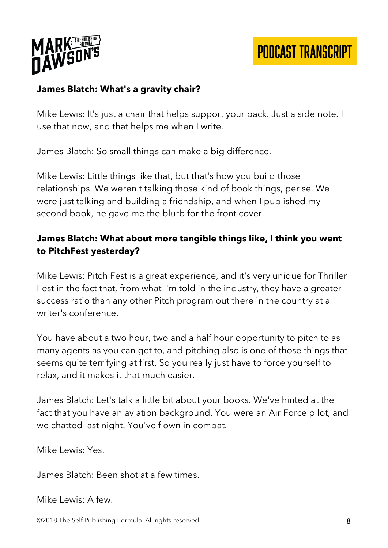

#### **James Blatch: What's a gravity chair?**

Mike Lewis: It's just a chair that helps support your back. Just a side note. I use that now, and that helps me when I write.

James Blatch: So small things can make a big difference.

Mike Lewis: Little things like that, but that's how you build those relationships. We weren't talking those kind of book things, per se. We were just talking and building a friendship, and when I published my second book, he gave me the blurb for the front cover.

#### **James Blatch: What about more tangible things like, I think you went to PitchFest yesterday?**

Mike Lewis: Pitch Fest is a great experience, and it's very unique for Thriller Fest in the fact that, from what I'm told in the industry, they have a greater success ratio than any other Pitch program out there in the country at a writer's conference.

You have about a two hour, two and a half hour opportunity to pitch to as many agents as you can get to, and pitching also is one of those things that seems quite terrifying at first. So you really just have to force yourself to relax, and it makes it that much easier.

James Blatch: Let's talk a little bit about your books. We've hinted at the fact that you have an aviation background. You were an Air Force pilot, and we chatted last night. You've flown in combat.

Mike Lewis: Yes.

James Blatch: Been shot at a few times.

Mike Lewis: A few.

©2018 The Self Publishing Formula. All rights reserved. 8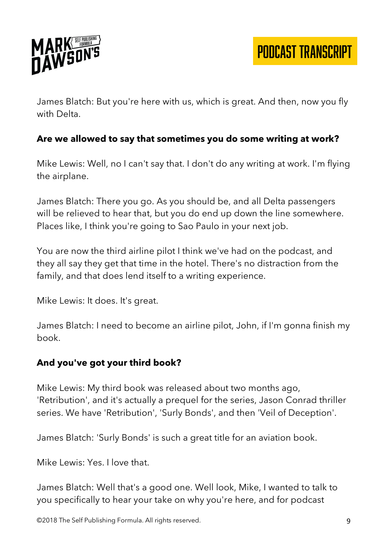

James Blatch: But you're here with us, which is great. And then, now you fly with Delta.

#### **Are we allowed to say that sometimes you do some writing at work?**

Mike Lewis: Well, no I can't say that. I don't do any writing at work. I'm flying the airplane.

James Blatch: There you go. As you should be, and all Delta passengers will be relieved to hear that, but you do end up down the line somewhere. Places like, I think you're going to Sao Paulo in your next job.

You are now the third airline pilot I think we've had on the podcast, and they all say they get that time in the hotel. There's no distraction from the family, and that does lend itself to a writing experience.

Mike Lewis: It does. It's great.

James Blatch: I need to become an airline pilot, John, if I'm gonna finish my book.

#### **And you've got your third book?**

Mike Lewis: My third book was released about two months ago, 'Retribution', and it's actually a prequel for the series, Jason Conrad thriller series. We have 'Retribution', 'Surly Bonds', and then 'Veil of Deception'.

James Blatch: 'Surly Bonds' is such a great title for an aviation book.

Mike Lewis: Yes. I love that.

James Blatch: Well that's a good one. Well look, Mike, I wanted to talk to you specifically to hear your take on why you're here, and for podcast

©2018 The Self Publishing Formula. All rights reserved. 9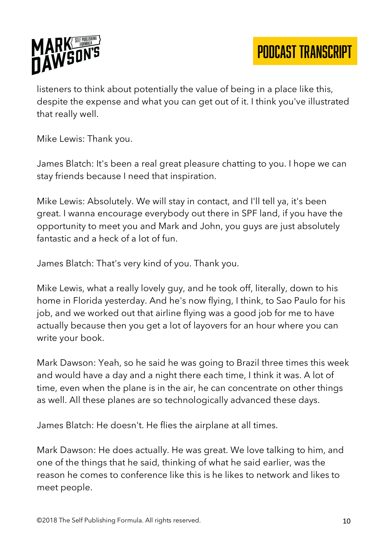

listeners to think about potentially the value of being in a place like this, despite the expense and what you can get out of it. I think you've illustrated that really well.

Mike Lewis: Thank you.

James Blatch: It's been a real great pleasure chatting to you. I hope we can stay friends because I need that inspiration.

Mike Lewis: Absolutely. We will stay in contact, and I'll tell ya, it's been great. I wanna encourage everybody out there in SPF land, if you have the opportunity to meet you and Mark and John, you guys are just absolutely fantastic and a heck of a lot of fun.

James Blatch: That's very kind of you. Thank you.

Mike Lewis, what a really lovely guy, and he took off, literally, down to his home in Florida yesterday. And he's now flying, I think, to Sao Paulo for his job, and we worked out that airline flying was a good job for me to have actually because then you get a lot of layovers for an hour where you can write your book.

Mark Dawson: Yeah, so he said he was going to Brazil three times this week and would have a day and a night there each time, I think it was. A lot of time, even when the plane is in the air, he can concentrate on other things as well. All these planes are so technologically advanced these days.

James Blatch: He doesn't. He flies the airplane at all times.

Mark Dawson: He does actually. He was great. We love talking to him, and one of the things that he said, thinking of what he said earlier, was the reason he comes to conference like this is he likes to network and likes to meet people.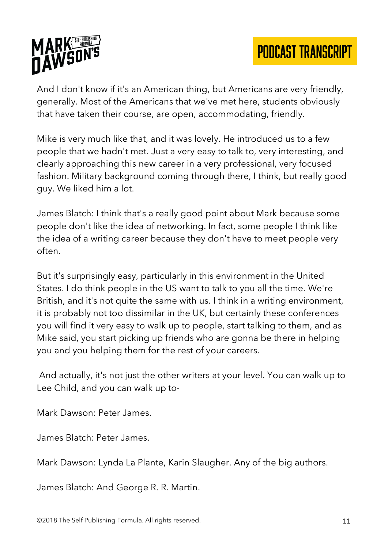

And I don't know if it's an American thing, but Americans are very friendly, generally. Most of the Americans that we've met here, students obviously that have taken their course, are open, accommodating, friendly.

Mike is very much like that, and it was lovely. He introduced us to a few people that we hadn't met. Just a very easy to talk to, very interesting, and clearly approaching this new career in a very professional, very focused fashion. Military background coming through there, I think, but really good guy. We liked him a lot.

James Blatch: I think that's a really good point about Mark because some people don't like the idea of networking. In fact, some people I think like the idea of a writing career because they don't have to meet people very often.

But it's surprisingly easy, particularly in this environment in the United States. I do think people in the US want to talk to you all the time. We're British, and it's not quite the same with us. I think in a writing environment, it is probably not too dissimilar in the UK, but certainly these conferences you will find it very easy to walk up to people, start talking to them, and as Mike said, you start picking up friends who are gonna be there in helping you and you helping them for the rest of your careers.

And actually, it's not just the other writers at your level. You can walk up to Lee Child, and you can walk up to-

Mark Dawson: Peter James.

James Blatch: Peter James.

Mark Dawson: Lynda La Plante, Karin Slaugher. Any of the big authors.

James Blatch: And George R. R. Martin.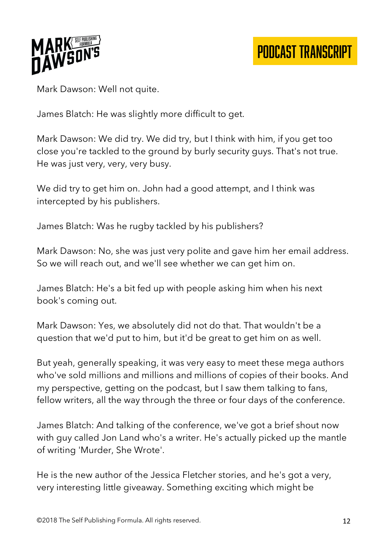

Mark Dawson: Well not quite.

James Blatch: He was slightly more difficult to get.

Mark Dawson: We did try. We did try, but I think with him, if you get too close you're tackled to the ground by burly security guys. That's not true. He was just very, very, very busy.

We did try to get him on. John had a good attempt, and I think was intercepted by his publishers.

James Blatch: Was he rugby tackled by his publishers?

Mark Dawson: No, she was just very polite and gave him her email address. So we will reach out, and we'll see whether we can get him on.

James Blatch: He's a bit fed up with people asking him when his next book's coming out.

Mark Dawson: Yes, we absolutely did not do that. That wouldn't be a question that we'd put to him, but it'd be great to get him on as well.

But yeah, generally speaking, it was very easy to meet these mega authors who've sold millions and millions and millions of copies of their books. And my perspective, getting on the podcast, but I saw them talking to fans, fellow writers, all the way through the three or four days of the conference.

James Blatch: And talking of the conference, we've got a brief shout now with guy called Jon Land who's a writer. He's actually picked up the mantle of writing 'Murder, She Wrote'.

He is the new author of the Jessica Fletcher stories, and he's got a very, very interesting little giveaway. Something exciting which might be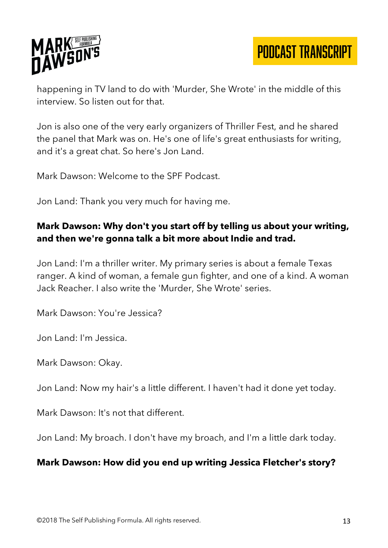

happening in TV land to do with 'Murder, She Wrote' in the middle of this interview. So listen out for that.

Jon is also one of the very early organizers of Thriller Fest, and he shared the panel that Mark was on. He's one of life's great enthusiasts for writing, and it's a great chat. So here's Jon Land.

Mark Dawson: Welcome to the SPF Podcast.

Jon Land: Thank you very much for having me.

#### **Mark Dawson: Why don't you start off by telling us about your writing, and then we're gonna talk a bit more about Indie and trad.**

Jon Land: I'm a thriller writer. My primary series is about a female Texas ranger. A kind of woman, a female gun fighter, and one of a kind. A woman Jack Reacher. I also write the 'Murder, She Wrote' series.

Mark Dawson: You're Jessica?

Jon Land: I'm Jessica.

Mark Dawson: Okay.

Jon Land: Now my hair's a little different. I haven't had it done yet today.

Mark Dawson: It's not that different.

Jon Land: My broach. I don't have my broach, and I'm a little dark today.

#### **Mark Dawson: How did you end up writing Jessica Fletcher's story?**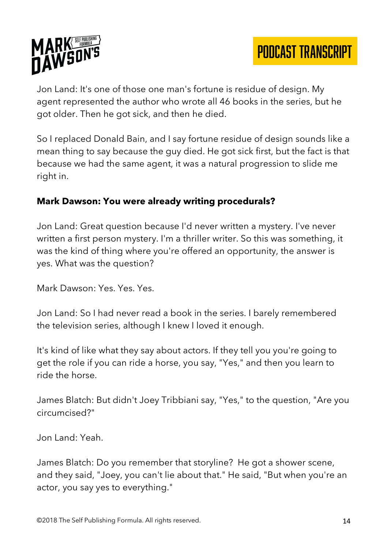

Jon Land: It's one of those one man's fortune is residue of design. My agent represented the author who wrote all 46 books in the series, but he got older. Then he got sick, and then he died.

So I replaced Donald Bain, and I say fortune residue of design sounds like a mean thing to say because the guy died. He got sick first, but the fact is that because we had the same agent, it was a natural progression to slide me right in.

#### **Mark Dawson: You were already writing procedurals?**

Jon Land: Great question because I'd never written a mystery. I've never written a first person mystery. I'm a thriller writer. So this was something, it was the kind of thing where you're offered an opportunity, the answer is yes. What was the question?

Mark Dawson: Yes. Yes. Yes.

Jon Land: So I had never read a book in the series. I barely remembered the television series, although I knew I loved it enough.

It's kind of like what they say about actors. If they tell you you're going to get the role if you can ride a horse, you say, "Yes," and then you learn to ride the horse.

James Blatch: But didn't Joey Tribbiani say, "Yes," to the question, "Are you circumcised?"

Jon Land: Yeah.

James Blatch: Do you remember that storyline? He got a shower scene, and they said, "Joey, you can't lie about that." He said, "But when you're an actor, you say yes to everything."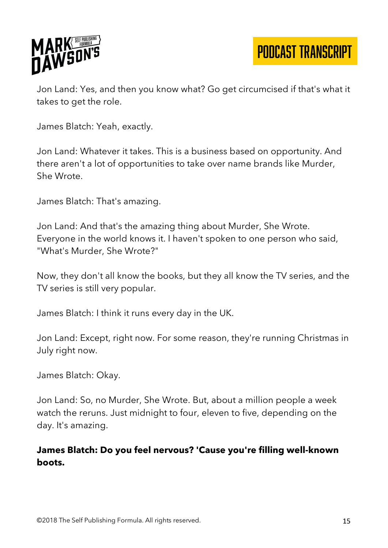

Jon Land: Yes, and then you know what? Go get circumcised if that's what it takes to get the role.

James Blatch: Yeah, exactly.

Jon Land: Whatever it takes. This is a business based on opportunity. And there aren't a lot of opportunities to take over name brands like Murder, She Wrote.

James Blatch: That's amazing.

Jon Land: And that's the amazing thing about Murder, She Wrote. Everyone in the world knows it. I haven't spoken to one person who said, "What's Murder, She Wrote?"

Now, they don't all know the books, but they all know the TV series, and the TV series is still very popular.

James Blatch: I think it runs every day in the UK.

Jon Land: Except, right now. For some reason, they're running Christmas in July right now.

James Blatch: Okay.

Jon Land: So, no Murder, She Wrote. But, about a million people a week watch the reruns. Just midnight to four, eleven to five, depending on the day. It's amazing.

#### **James Blatch: Do you feel nervous? 'Cause you're filling well-known boots.**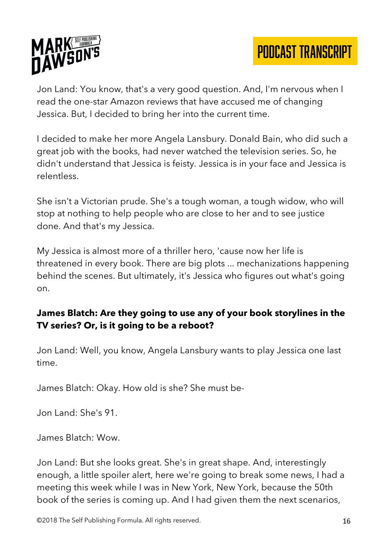

Jon Land: You know, that's a very good question. And, I'm nervous when I read the one-star Amazon reviews that have accused me of changing Jessica. But, I decided to bring her into the current time.

I decided to make her more Angela Lansbury. Donald Bain, who did such a great job with the books, had never watched the television series. So, he didn't understand that Jessica is feisty. Jessica is in your face and Jessica is relentless.

She isn't a Victorian prude. She's a tough woman, a tough widow, who will stop at nothing to help people who are close to her and to see justice done. And that's my Jessica.

My Jessica is almost more of a thriller hero, 'cause now her life is threatened in every book. There are big plots ... mechanizations happening behind the scenes. But ultimately, it's Jessica who figures out what's going on.

#### **James Blatch: Are they going to use any of your book storylines in the TV series? Or, is it going to be a reboot?**

Jon Land: Well, you know, Angela Lansbury wants to play Jessica one last time.

James Blatch: Okay. How old is she? She must be-

Jon Land: She's 91.

James Blatch: Wow.

Jon Land: But she looks great. She's in great shape. And, interestingly enough, a little spoiler alert, here we're going to break some news, I had a meeting this week while I was in New York, New York, because the 50th book of the series is coming up. And I had given them the next scenarios,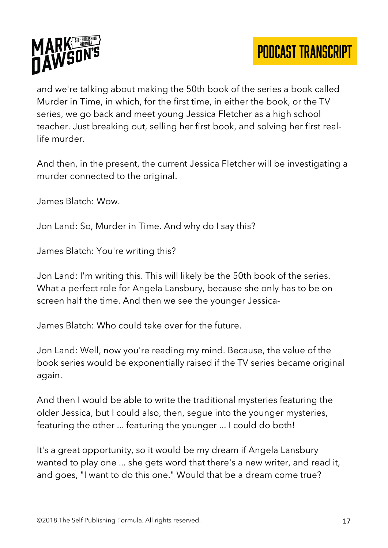



and we're talking about making the 50th book of the series a book called Murder in Time, in which, for the first time, in either the book, or the TV series, we go back and meet young Jessica Fletcher as a high school teacher. Just breaking out, selling her first book, and solving her first reallife murder.

And then, in the present, the current Jessica Fletcher will be investigating a murder connected to the original.

James Blatch: Wow.

Jon Land: So, Murder in Time. And why do I say this?

James Blatch: You're writing this?

Jon Land: I'm writing this. This will likely be the 50th book of the series. What a perfect role for Angela Lansbury, because she only has to be on screen half the time. And then we see the younger Jessica-

James Blatch: Who could take over for the future.

Jon Land: Well, now you're reading my mind. Because, the value of the book series would be exponentially raised if the TV series became original again.

And then I would be able to write the traditional mysteries featuring the older Jessica, but I could also, then, segue into the younger mysteries, featuring the other ... featuring the younger ... I could do both!

It's a great opportunity, so it would be my dream if Angela Lansbury wanted to play one ... she gets word that there's a new writer, and read it, and goes, "I want to do this one." Would that be a dream come true?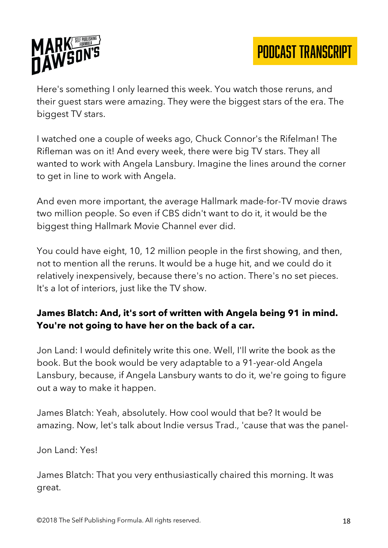

Here's something I only learned this week. You watch those reruns, and their guest stars were amazing. They were the biggest stars of the era. The biggest TV stars.

I watched one a couple of weeks ago, Chuck Connor's the Rifelman! The Rifleman was on it! And every week, there were big TV stars. They all wanted to work with Angela Lansbury. Imagine the lines around the corner to get in line to work with Angela.

And even more important, the average Hallmark made-for-TV movie draws two million people. So even if CBS didn't want to do it, it would be the biggest thing Hallmark Movie Channel ever did.

You could have eight, 10, 12 million people in the first showing, and then, not to mention all the reruns. It would be a huge hit, and we could do it relatively inexpensively, because there's no action. There's no set pieces. It's a lot of interiors, just like the TV show.

#### **James Blatch: And, it's sort of written with Angela being 91 in mind. You're not going to have her on the back of a car.**

Jon Land: I would definitely write this one. Well, I'll write the book as the book. But the book would be very adaptable to a 91-year-old Angela Lansbury, because, if Angela Lansbury wants to do it, we're going to figure out a way to make it happen.

James Blatch: Yeah, absolutely. How cool would that be? It would be amazing. Now, let's talk about Indie versus Trad., 'cause that was the panel-

Jon Land: Yes!

James Blatch: That you very enthusiastically chaired this morning. It was great.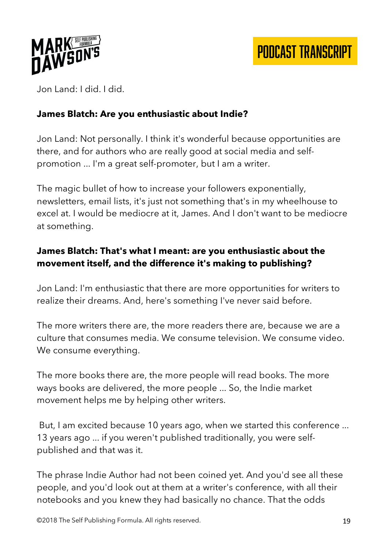

Jon Land: I did. I did.

#### **James Blatch: Are you enthusiastic about Indie?**

Jon Land: Not personally. I think it's wonderful because opportunities are there, and for authors who are really good at social media and selfpromotion ... I'm a great self-promoter, but I am a writer.

The magic bullet of how to increase your followers exponentially, newsletters, email lists, it's just not something that's in my wheelhouse to excel at. I would be mediocre at it, James. And I don't want to be mediocre at something.

## **James Blatch: That's what I meant: are you enthusiastic about the movement itself, and the difference it's making to publishing?**

Jon Land: I'm enthusiastic that there are more opportunities for writers to realize their dreams. And, here's something I've never said before.

The more writers there are, the more readers there are, because we are a culture that consumes media. We consume television. We consume video. We consume everything.

The more books there are, the more people will read books. The more ways books are delivered, the more people ... So, the Indie market movement helps me by helping other writers.

But, I am excited because 10 years ago, when we started this conference ... 13 years ago ... if you weren't published traditionally, you were selfpublished and that was it.

The phrase Indie Author had not been coined yet. And you'd see all these people, and you'd look out at them at a writer's conference, with all their notebooks and you knew they had basically no chance. That the odds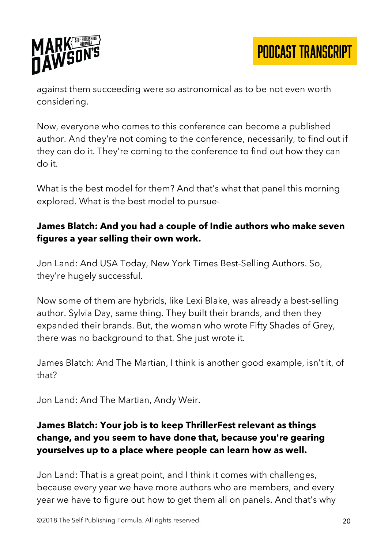

against them succeeding were so astronomical as to be not even worth considering.

Now, everyone who comes to this conference can become a published author. And they're not coming to the conference, necessarily, to find out if they can do it. They're coming to the conference to find out how they can do it.

What is the best model for them? And that's what that panel this morning explored. What is the best model to pursue-

#### **James Blatch: And you had a couple of Indie authors who make seven figures a year selling their own work.**

Jon Land: And USA Today, New York Times Best-Selling Authors. So, they're hugely successful.

Now some of them are hybrids, like Lexi Blake, was already a best-selling author. Sylvia Day, same thing. They built their brands, and then they expanded their brands. But, the woman who wrote Fifty Shades of Grey, there was no background to that. She just wrote it.

James Blatch: And The Martian, I think is another good example, isn't it, of that?

Jon Land: And The Martian, Andy Weir.

#### **James Blatch: Your job is to keep ThrillerFest relevant as things change, and you seem to have done that, because you're gearing yourselves up to a place where people can learn how as well.**

Jon Land: That is a great point, and I think it comes with challenges, because every year we have more authors who are members, and every year we have to figure out how to get them all on panels. And that's why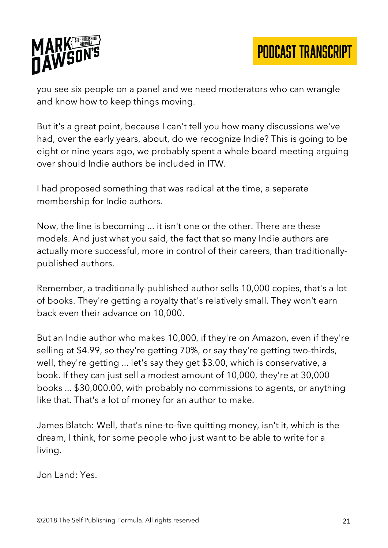

you see six people on a panel and we need moderators who can wrangle and know how to keep things moving.

But it's a great point, because I can't tell you how many discussions we've had, over the early years, about, do we recognize Indie? This is going to be eight or nine years ago, we probably spent a whole board meeting arguing over should Indie authors be included in ITW.

I had proposed something that was radical at the time, a separate membership for Indie authors.

Now, the line is becoming ... it isn't one or the other. There are these models. And just what you said, the fact that so many Indie authors are actually more successful, more in control of their careers, than traditionallypublished authors.

Remember, a traditionally-published author sells 10,000 copies, that's a lot of books. They're getting a royalty that's relatively small. They won't earn back even their advance on 10,000.

But an Indie author who makes 10,000, if they're on Amazon, even if they're selling at \$4.99, so they're getting 70%, or say they're getting two-thirds, well, they're getting ... let's say they get \$3.00, which is conservative, a book. If they can just sell a modest amount of 10,000, they're at 30,000 books ... \$30,000.00, with probably no commissions to agents, or anything like that. That's a lot of money for an author to make.

James Blatch: Well, that's nine-to-five quitting money, isn't it, which is the dream, I think, for some people who just want to be able to write for a living.

Jon Land: Yes.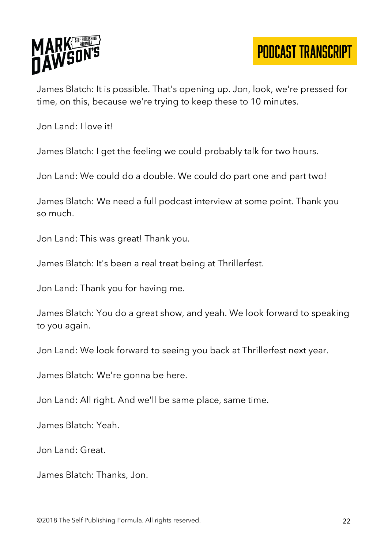

James Blatch: It is possible. That's opening up. Jon, look, we're pressed for time, on this, because we're trying to keep these to 10 minutes.

Jon Land: I love it!

James Blatch: I get the feeling we could probably talk for two hours.

Jon Land: We could do a double. We could do part one and part two!

James Blatch: We need a full podcast interview at some point. Thank you so much.

Jon Land: This was great! Thank you.

James Blatch: It's been a real treat being at Thrillerfest.

Jon Land: Thank you for having me.

James Blatch: You do a great show, and yeah. We look forward to speaking to you again.

Jon Land: We look forward to seeing you back at Thrillerfest next year.

James Blatch: We're gonna be here.

Jon Land: All right. And we'll be same place, same time.

James Blatch: Yeah.

Jon Land: Great.

James Blatch: Thanks, Jon.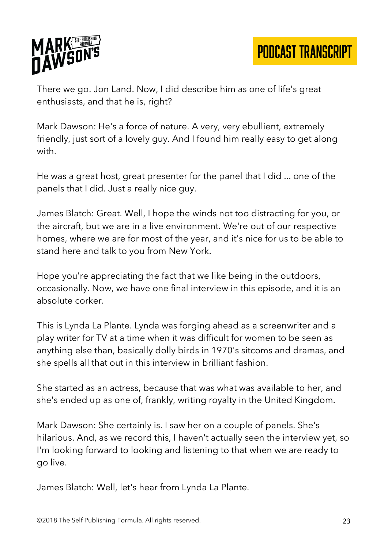

There we go. Jon Land. Now, I did describe him as one of life's great enthusiasts, and that he is, right?

Mark Dawson: He's a force of nature. A very, very ebullient, extremely friendly, just sort of a lovely guy. And I found him really easy to get along with.

He was a great host, great presenter for the panel that I did ... one of the panels that I did. Just a really nice guy.

James Blatch: Great. Well, I hope the winds not too distracting for you, or the aircraft, but we are in a live environment. We're out of our respective homes, where we are for most of the year, and it's nice for us to be able to stand here and talk to you from New York.

Hope you're appreciating the fact that we like being in the outdoors, occasionally. Now, we have one final interview in this episode, and it is an absolute corker.

This is Lynda La Plante. Lynda was forging ahead as a screenwriter and a play writer for TV at a time when it was difficult for women to be seen as anything else than, basically dolly birds in 1970's sitcoms and dramas, and she spells all that out in this interview in brilliant fashion.

She started as an actress, because that was what was available to her, and she's ended up as one of, frankly, writing royalty in the United Kingdom.

Mark Dawson: She certainly is. I saw her on a couple of panels. She's hilarious. And, as we record this, I haven't actually seen the interview yet, so I'm looking forward to looking and listening to that when we are ready to go live.

James Blatch: Well, let's hear from Lynda La Plante.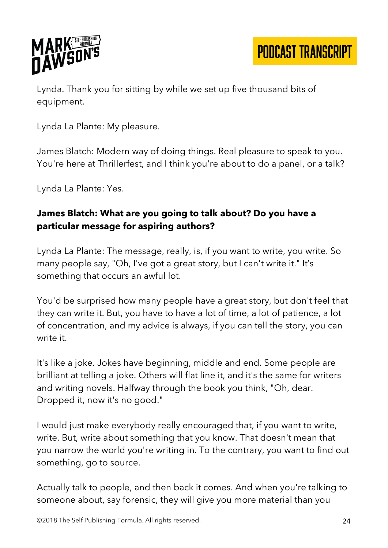

Lynda. Thank you for sitting by while we set up five thousand bits of equipment.

Lynda La Plante: My pleasure.

James Blatch: Modern way of doing things. Real pleasure to speak to you. You're here at Thrillerfest, and I think you're about to do a panel, or a talk?

Lynda La Plante: Yes.

#### **James Blatch: What are you going to talk about? Do you have a particular message for aspiring authors?**

Lynda La Plante: The message, really, is, if you want to write, you write. So many people say, "Oh, I've got a great story, but I can't write it." It's something that occurs an awful lot.

You'd be surprised how many people have a great story, but don't feel that they can write it. But, you have to have a lot of time, a lot of patience, a lot of concentration, and my advice is always, if you can tell the story, you can write it.

It's like a joke. Jokes have beginning, middle and end. Some people are brilliant at telling a joke. Others will flat line it, and it's the same for writers and writing novels. Halfway through the book you think, "Oh, dear. Dropped it, now it's no good."

I would just make everybody really encouraged that, if you want to write, write. But, write about something that you know. That doesn't mean that you narrow the world you're writing in. To the contrary, you want to find out something, go to source.

Actually talk to people, and then back it comes. And when you're talking to someone about, say forensic, they will give you more material than you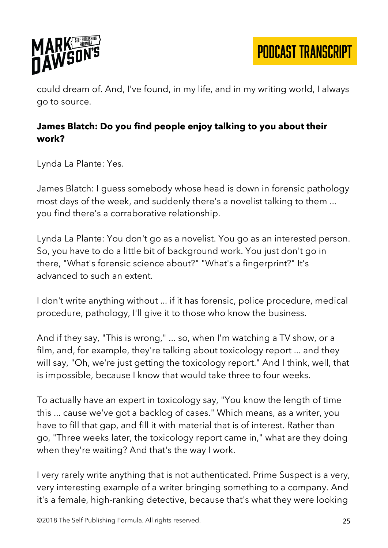

could dream of. And, I've found, in my life, and in my writing world, I always go to source.

## **James Blatch: Do you find people enjoy talking to you about their work?**

Lynda La Plante: Yes.

James Blatch: I guess somebody whose head is down in forensic pathology most days of the week, and suddenly there's a novelist talking to them ... you find there's a corraborative relationship.

Lynda La Plante: You don't go as a novelist. You go as an interested person. So, you have to do a little bit of background work. You just don't go in there, "What's forensic science about?" "What's a fingerprint?" It's advanced to such an extent.

I don't write anything without ... if it has forensic, police procedure, medical procedure, pathology, I'll give it to those who know the business.

And if they say, "This is wrong," ... so, when I'm watching a TV show, or a film, and, for example, they're talking about toxicology report ... and they will say, "Oh, we're just getting the toxicology report." And I think, well, that is impossible, because I know that would take three to four weeks.

To actually have an expert in toxicology say, "You know the length of time this ... cause we've got a backlog of cases." Which means, as a writer, you have to fill that gap, and fill it with material that is of interest. Rather than go, "Three weeks later, the toxicology report came in," what are they doing when they're waiting? And that's the way I work.

I very rarely write anything that is not authenticated. Prime Suspect is a very, very interesting example of a writer bringing something to a company. And it's a female, high-ranking detective, because that's what they were looking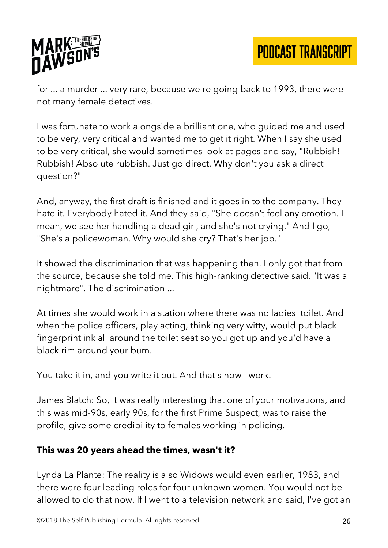

for ... a murder ... very rare, because we're going back to 1993, there were not many female detectives.

I was fortunate to work alongside a brilliant one, who guided me and used to be very, very critical and wanted me to get it right. When I say she used to be very critical, she would sometimes look at pages and say, "Rubbish! Rubbish! Absolute rubbish. Just go direct. Why don't you ask a direct question?"

And, anyway, the first draft is finished and it goes in to the company. They hate it. Everybody hated it. And they said, "She doesn't feel any emotion. I mean, we see her handling a dead girl, and she's not crying." And I go, "She's a policewoman. Why would she cry? That's her job."

It showed the discrimination that was happening then. I only got that from the source, because she told me. This high-ranking detective said, "It was a nightmare". The discrimination ...

At times she would work in a station where there was no ladies' toilet. And when the police officers, play acting, thinking very witty, would put black fingerprint ink all around the toilet seat so you got up and you'd have a black rim around your bum.

You take it in, and you write it out. And that's how I work.

James Blatch: So, it was really interesting that one of your motivations, and this was mid-90s, early 90s, for the first Prime Suspect, was to raise the profile, give some credibility to females working in policing.

#### **This was 20 years ahead the times, wasn't it?**

Lynda La Plante: The reality is also Widows would even earlier, 1983, and there were four leading roles for four unknown women. You would not be allowed to do that now. If I went to a television network and said, I've got an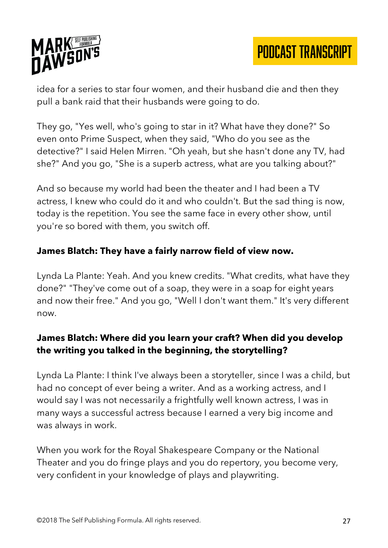



idea for a series to star four women, and their husband die and then they pull a bank raid that their husbands were going to do.

They go, "Yes well, who's going to star in it? What have they done?" So even onto Prime Suspect, when they said, "Who do you see as the detective?" I said Helen Mirren. "Oh yeah, but she hasn't done any TV, had she?" And you go, "She is a superb actress, what are you talking about?"

And so because my world had been the theater and I had been a TV actress, I knew who could do it and who couldn't. But the sad thing is now, today is the repetition. You see the same face in every other show, until you're so bored with them, you switch off.

#### **James Blatch: They have a fairly narrow field of view now.**

Lynda La Plante: Yeah. And you knew credits. "What credits, what have they done?" "They've come out of a soap, they were in a soap for eight years and now their free." And you go, "Well I don't want them." It's very different now.

#### **James Blatch: Where did you learn your craft? When did you develop the writing you talked in the beginning, the storytelling?**

Lynda La Plante: I think I've always been a storyteller, since I was a child, but had no concept of ever being a writer. And as a working actress, and I would say I was not necessarily a frightfully well known actress, I was in many ways a successful actress because I earned a very big income and was always in work.

When you work for the Royal Shakespeare Company or the National Theater and you do fringe plays and you do repertory, you become very, very confident in your knowledge of plays and playwriting.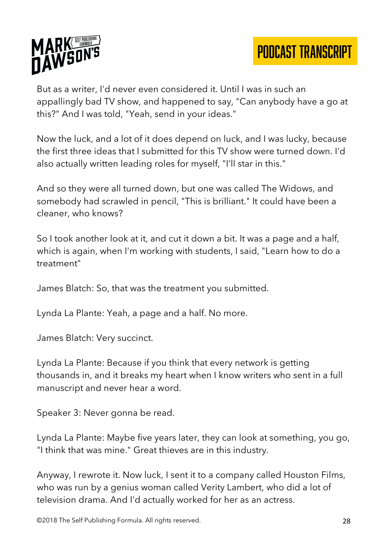

But as a writer, I'd never even considered it. Until I was in such an appallingly bad TV show, and happened to say, "Can anybody have a go at this?" And I was told, "Yeah, send in your ideas."

Now the luck, and a lot of it does depend on luck, and I was lucky, because the first three ideas that I submitted for this TV show were turned down. I'd also actually written leading roles for myself, "I'll star in this."

And so they were all turned down, but one was called The Widows, and somebody had scrawled in pencil, "This is brilliant." It could have been a cleaner, who knows?

So I took another look at it, and cut it down a bit. It was a page and a half, which is again, when I'm working with students, I said, "Learn how to do a treatment"

James Blatch: So, that was the treatment you submitted.

Lynda La Plante: Yeah, a page and a half. No more.

James Blatch: Very succinct.

Lynda La Plante: Because if you think that every network is getting thousands in, and it breaks my heart when I know writers who sent in a full manuscript and never hear a word.

Speaker 3: Never gonna be read.

Lynda La Plante: Maybe five years later, they can look at something, you go, "I think that was mine." Great thieves are in this industry.

Anyway, I rewrote it. Now luck, I sent it to a company called Houston Films, who was run by a genius woman called Verity Lambert, who did a lot of television drama. And I'd actually worked for her as an actress.

©2018 The Self Publishing Formula. All rights reserved. 28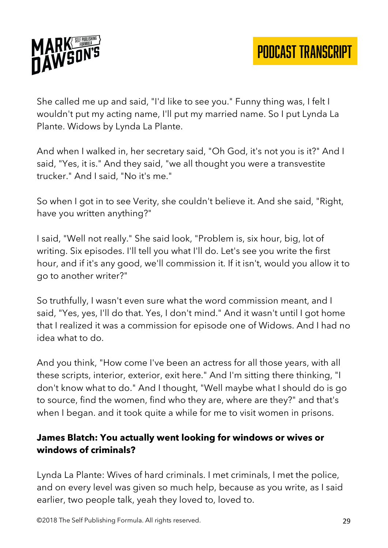

She called me up and said, "I'd like to see you." Funny thing was, I felt I wouldn't put my acting name, I'll put my married name. So I put Lynda La Plante. Widows by Lynda La Plante.

And when I walked in, her secretary said, "Oh God, it's not you is it?" And I said, "Yes, it is." And they said, "we all thought you were a transvestite trucker." And I said, "No it's me."

So when I got in to see Verity, she couldn't believe it. And she said, "Right, have you written anything?"

I said, "Well not really." She said look, "Problem is, six hour, big, lot of writing. Six episodes. I'll tell you what I'll do. Let's see you write the first hour, and if it's any good, we'll commission it. If it isn't, would you allow it to go to another writer?"

So truthfully, I wasn't even sure what the word commission meant, and I said, "Yes, yes, I'll do that. Yes, I don't mind." And it wasn't until I got home that I realized it was a commission for episode one of Widows. And I had no idea what to do.

And you think, "How come I've been an actress for all those years, with all these scripts, interior, exterior, exit here." And I'm sitting there thinking, "I don't know what to do." And I thought, "Well maybe what I should do is go to source, find the women, find who they are, where are they?" and that's when I began. and it took quite a while for me to visit women in prisons.

#### **James Blatch: You actually went looking for windows or wives or windows of criminals?**

Lynda La Plante: Wives of hard criminals. I met criminals, I met the police, and on every level was given so much help, because as you write, as I said earlier, two people talk, yeah they loved to, loved to.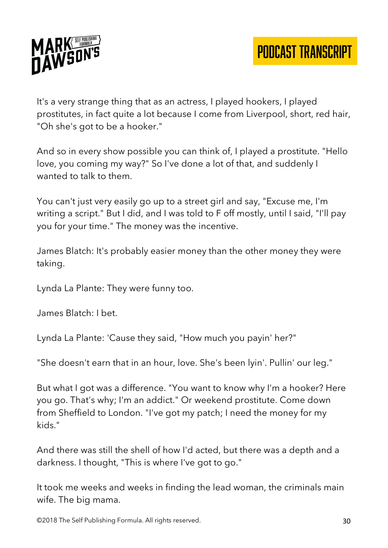

It's a very strange thing that as an actress, I played hookers, I played prostitutes, in fact quite a lot because I come from Liverpool, short, red hair, "Oh she's got to be a hooker."

And so in every show possible you can think of, I played a prostitute. "Hello love, you coming my way?" So I've done a lot of that, and suddenly I wanted to talk to them.

You can't just very easily go up to a street girl and say, "Excuse me, I'm writing a script." But I did, and I was told to F off mostly, until I said, "I'll pay you for your time." The money was the incentive.

James Blatch: It's probably easier money than the other money they were taking.

Lynda La Plante: They were funny too.

James Blatch: I bet.

Lynda La Plante: 'Cause they said, "How much you payin' her?"

"She doesn't earn that in an hour, love. She's been lyin'. Pullin' our leg."

But what I got was a difference. "You want to know why I'm a hooker? Here you go. That's why; I'm an addict." Or weekend prostitute. Come down from Sheffield to London. "I've got my patch; I need the money for my kids."

And there was still the shell of how I'd acted, but there was a depth and a darkness. I thought, "This is where I've got to go."

It took me weeks and weeks in finding the lead woman, the criminals main wife. The big mama.

©2018 The Self Publishing Formula. All rights reserved. 30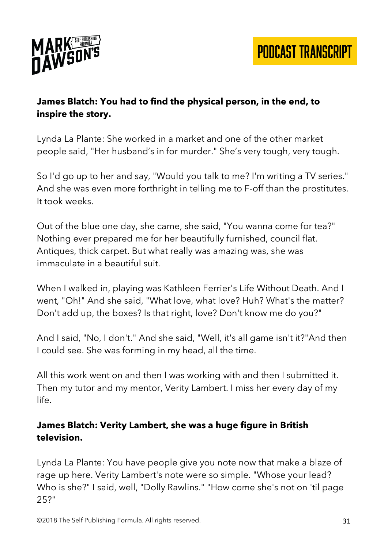

#### **James Blatch: You had to find the physical person, in the end, to inspire the story.**

Lynda La Plante: She worked in a market and one of the other market people said, "Her husband's in for murder." She's very tough, very tough.

So I'd go up to her and say, "Would you talk to me? I'm writing a TV series." And she was even more forthright in telling me to F-off than the prostitutes. It took weeks.

Out of the blue one day, she came, she said, "You wanna come for tea?" Nothing ever prepared me for her beautifully furnished, council flat. Antiques, thick carpet. But what really was amazing was, she was immaculate in a beautiful suit.

When I walked in, playing was Kathleen Ferrier's Life Without Death. And I went, "Oh!" And she said, "What love, what love? Huh? What's the matter? Don't add up, the boxes? Is that right, love? Don't know me do you?"

And I said, "No, I don't." And she said, "Well, it's all game isn't it?"And then I could see. She was forming in my head, all the time.

All this work went on and then I was working with and then I submitted it. Then my tutor and my mentor, Verity Lambert. I miss her every day of my life.

#### **James Blatch: Verity Lambert, she was a huge figure in British television.**

Lynda La Plante: You have people give you note now that make a blaze of rage up here. Verity Lambert's note were so simple. "Whose your lead? Who is she?" I said, well, "Dolly Rawlins." "How come she's not on 'til page 25?"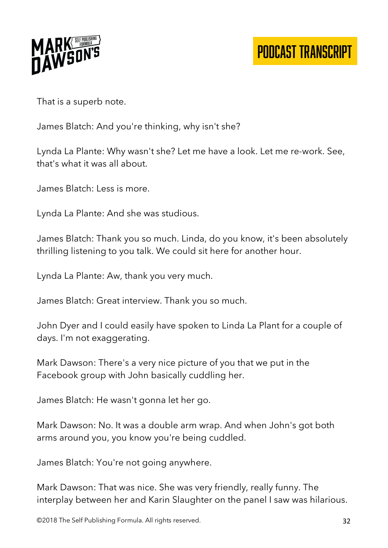

That is a superb note.

James Blatch: And you're thinking, why isn't she?

Lynda La Plante: Why wasn't she? Let me have a look. Let me re-work. See, that's what it was all about.

James Blatch: Less is more.

Lynda La Plante: And she was studious.

James Blatch: Thank you so much. Linda, do you know, it's been absolutely thrilling listening to you talk. We could sit here for another hour.

Lynda La Plante: Aw, thank you very much.

James Blatch: Great interview. Thank you so much.

John Dyer and I could easily have spoken to Linda La Plant for a couple of days. I'm not exaggerating.

Mark Dawson: There's a very nice picture of you that we put in the Facebook group with John basically cuddling her.

James Blatch: He wasn't gonna let her go.

Mark Dawson: No. It was a double arm wrap. And when John's got both arms around you, you know you're being cuddled.

James Blatch: You're not going anywhere.

Mark Dawson: That was nice. She was very friendly, really funny. The interplay between her and Karin Slaughter on the panel I saw was hilarious.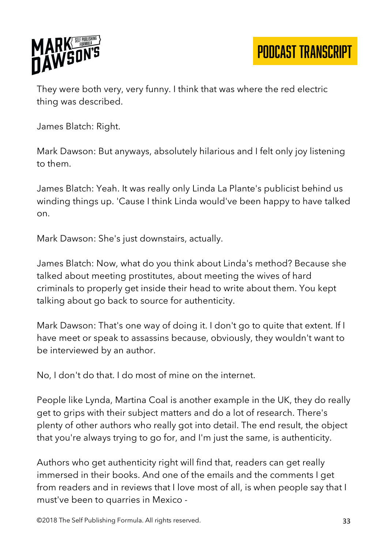

They were both very, very funny. I think that was where the red electric thing was described.

James Blatch: Right.

Mark Dawson: But anyways, absolutely hilarious and I felt only joy listening to them.

James Blatch: Yeah. It was really only Linda La Plante's publicist behind us winding things up. 'Cause I think Linda would've been happy to have talked on.

Mark Dawson: She's just downstairs, actually.

James Blatch: Now, what do you think about Linda's method? Because she talked about meeting prostitutes, about meeting the wives of hard criminals to properly get inside their head to write about them. You kept talking about go back to source for authenticity.

Mark Dawson: That's one way of doing it. I don't go to quite that extent. If I have meet or speak to assassins because, obviously, they wouldn't want to be interviewed by an author.

No, I don't do that. I do most of mine on the internet.

People like Lynda, Martina Coal is another example in the UK, they do really get to grips with their subject matters and do a lot of research. There's plenty of other authors who really got into detail. The end result, the object that you're always trying to go for, and I'm just the same, is authenticity.

Authors who get authenticity right will find that, readers can get really immersed in their books. And one of the emails and the comments I get from readers and in reviews that I love most of all, is when people say that I must've been to quarries in Mexico -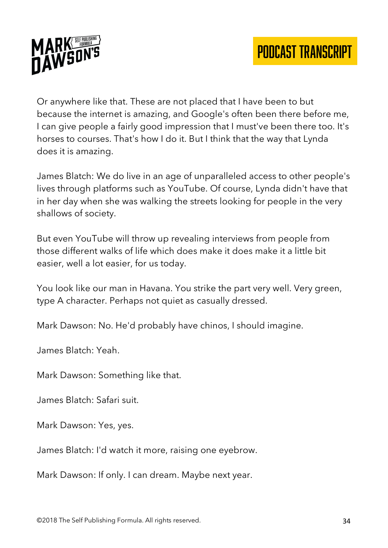

Or anywhere like that. These are not placed that I have been to but because the internet is amazing, and Google's often been there before me, I can give people a fairly good impression that I must've been there too. It's horses to courses. That's how I do it. But I think that the way that Lynda does it is amazing.

James Blatch: We do live in an age of unparalleled access to other people's lives through platforms such as YouTube. Of course, Lynda didn't have that in her day when she was walking the streets looking for people in the very shallows of society.

But even YouTube will throw up revealing interviews from people from those different walks of life which does make it does make it a little bit easier, well a lot easier, for us today.

You look like our man in Havana. You strike the part very well. Very green, type A character. Perhaps not quiet as casually dressed.

Mark Dawson: No. He'd probably have chinos, I should imagine.

James Blatch: Yeah.

Mark Dawson: Something like that.

James Blatch: Safari suit.

Mark Dawson: Yes, yes.

James Blatch: I'd watch it more, raising one eyebrow.

Mark Dawson: If only. I can dream. Maybe next year.